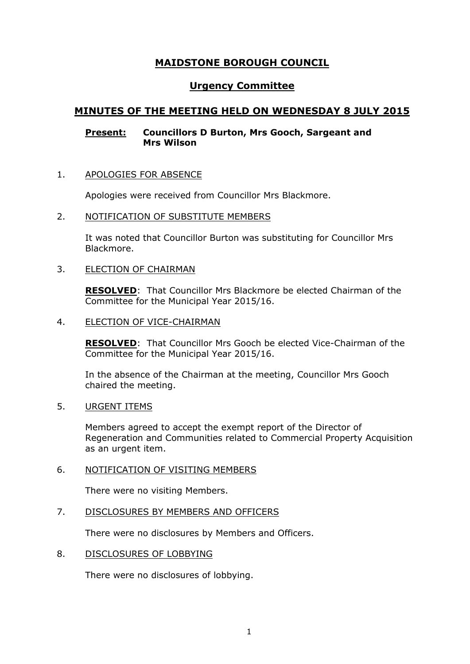# **MAIDSTONE BOROUGH COUNCIL**

# **Urgency Committee**

# **MINUTES OF THE MEETING HELD ON WEDNESDAY 8 JULY 2015**

## **Present: Councillors D Burton, Mrs Gooch, Sargeant and Mrs Wilson**

## 1. APOLOGIES FOR ABSENCE

Apologies were received from Councillor Mrs Blackmore.

### 2. NOTIFICATION OF SUBSTITUTE MEMBERS

It was noted that Councillor Burton was substituting for Councillor Mrs Blackmore.

## 3. ELECTION OF CHAIRMAN

**RESOLVED**: That Councillor Mrs Blackmore be elected Chairman of the Committee for the Municipal Year 2015/16.

### 4. ELECTION OF VICE-CHAIRMAN

**RESOLVED**: That Councillor Mrs Gooch be elected Vice-Chairman of the Committee for the Municipal Year 2015/16.

In the absence of the Chairman at the meeting, Councillor Mrs Gooch chaired the meeting.

# 5. URGENT ITEMS

Members agreed to accept the exempt report of the Director of Regeneration and Communities related to Commercial Property Acquisition as an urgent item.

### 6. NOTIFICATION OF VISITING MEMBERS

There were no visiting Members.

### 7. DISCLOSURES BY MEMBERS AND OFFICERS

There were no disclosures by Members and Officers.

### 8. DISCLOSURES OF LOBBYING

There were no disclosures of lobbying.